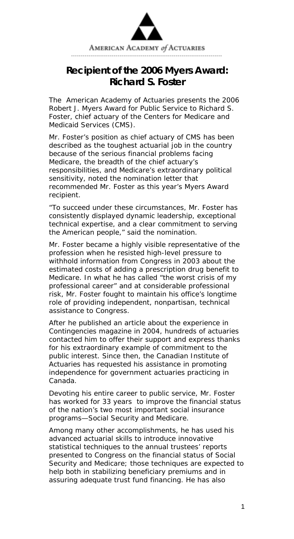

## **Recipient of the 2006 Myers Award: Richard S. Foster**

The American Academy of Actuaries presents the 2006 Robert J. Myers Award for Public Service to Richard S. Foster, chief actuary of the Centers for Medicare and Medicaid Services (CMS).

Mr. Foster's position as chief actuary of CMS has been described as the toughest actuarial job in the country because of the serious financial problems facing Medicare, the breadth of the chief actuary's responsibilities, and Medicare's extraordinary political sensitivity, noted the nomination letter that recommended Mr. Foster as this year's Myers Award recipient.

"To succeed under these circumstances, Mr. Foster has consistently displayed dynamic leadership, exceptional technical expertise, and a clear commitment to serving the American people," said the nomination.

Mr. Foster became a highly visible representative of the profession when he resisted high-level pressure to withhold information from Congress in 2003 about the estimated costs of adding a prescription drug benefit to Medicare. In what he has called "the worst crisis of my professional career" and at considerable professional risk, Mr. Foster fought to maintain his office's longtime role of providing independent, nonpartisan, technical assistance to Congress.

After he published an article about the experience in Contingencies magazine in 2004, hundreds of actuaries contacted him to offer their support and express thanks for his extraordinary example of commitment to the public interest. Since then, the Canadian Institute of Actuaries has requested his assistance in promoting independence for government actuaries practicing in Canada.

Devoting his entire career to public service, Mr. Foster has worked for 33 years to improve the financial status of the nation's two most important social insurance programs—Social Security and Medicare.

Among many other accomplishments, he has used his advanced actuarial skills to introduce innovative statistical techniques to the annual trustees' reports presented to Congress on the financial status of Social Security and Medicare; those techniques are expected to help both in stabilizing beneficiary premiums and in assuring adequate trust fund financing. He has also